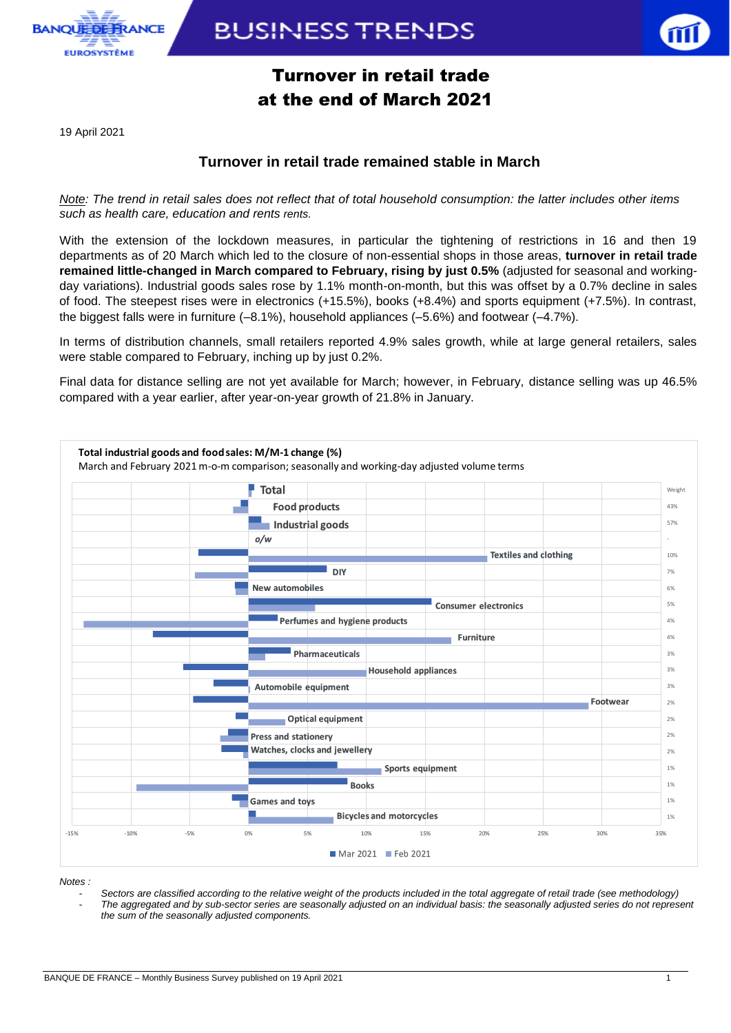

**BUSINESS TRENDS** 

## Turnover in retail trade at the end of March 2021

19 April 2021

### **Turnover in retail trade remained stable in March**

*Note: The trend in retail sales does not reflect that of total household consumption: the latter includes other items such as health care, education and rents rents.*

With the extension of the lockdown measures, in particular the tightening of restrictions in 16 and then 19 departments as of 20 March which led to the closure of non-essential shops in those areas, **turnover in retail trade remained little-changed in March compared to February, rising by just 0.5%** (adjusted for seasonal and workingday variations). Industrial goods sales rose by 1.1% month-on-month, but this was offset by a 0.7% decline in sales of food. The steepest rises were in electronics (+15.5%), books (+8.4%) and sports equipment (+7.5%). In contrast, the biggest falls were in furniture (–8.1%), household appliances (–5.6%) and footwear (–4.7%).

In terms of distribution channels, small retailers reported 4.9% sales growth, while at large general retailers, sales were stable compared to February, inching up by just 0.2%.

Final data for distance selling are not yet available for March; however, in February, distance selling was up 46.5% compared with a year earlier, after year-on-year growth of 21.8% in January.



*Notes :* 

*- Sectors are classified according to the relative weight of the products included in the total aggregate of retail trade (see methodology) - The aggregated and by sub-sector series are seasonally adjusted on an individual basis: the seasonally adjusted series do not represent the sum of the seasonally adjusted components.*